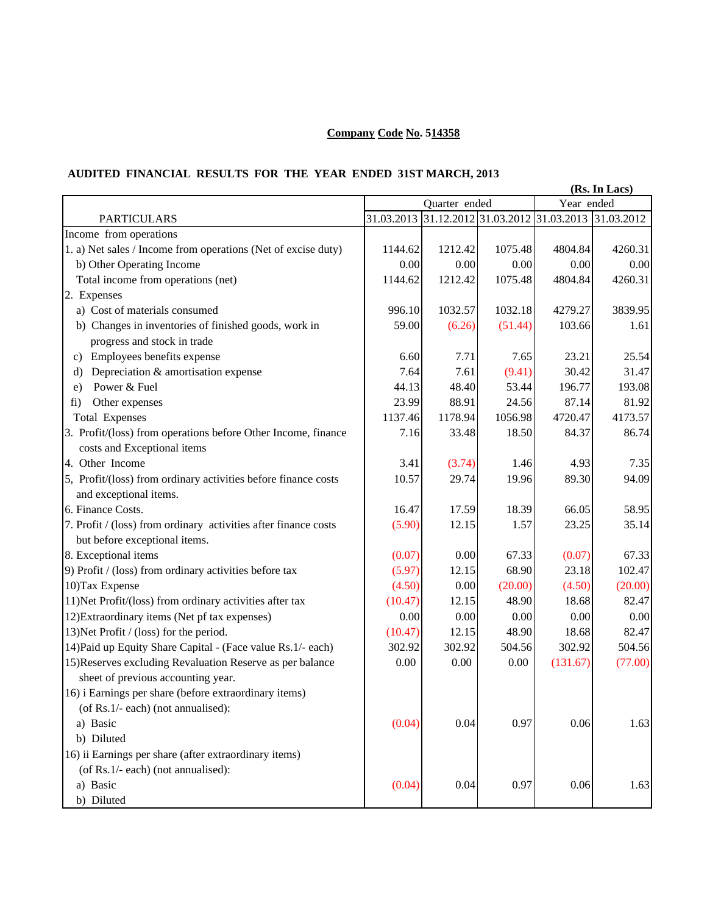## **Company Code No. 514358**

## **AUDITED FINANCIAL RESULTS FOR THE YEAR ENDED 31ST MARCH, 2013**

| Year ended<br>Quarter ended<br>31.03.2013<br>31.12.2012 31.03.2012 31.03.2013 31.03.2012<br><b>PARTICULARS</b>                      |         |
|-------------------------------------------------------------------------------------------------------------------------------------|---------|
|                                                                                                                                     |         |
|                                                                                                                                     |         |
| Income from operations                                                                                                              |         |
| 1. a) Net sales / Income from operations (Net of excise duty)<br>1144.62<br>1212.42<br>1075.48<br>4804.84                           | 4260.31 |
| b) Other Operating Income<br>0.00<br>0.00<br>0.00<br>0.00                                                                           | 0.00    |
| Total income from operations (net)<br>1212.42<br>1075.48<br>1144.62<br>4804.84                                                      | 4260.31 |
| 2. Expenses                                                                                                                         |         |
| a) Cost of materials consumed<br>996.10<br>1032.57<br>1032.18<br>4279.27                                                            | 3839.95 |
| b) Changes in inventories of finished goods, work in<br>59.00<br>(6.26)<br>(51.44)<br>103.66                                        | 1.61    |
| progress and stock in trade                                                                                                         |         |
| Employees benefits expense<br>6.60<br>7.71<br>7.65<br>23.21<br>C)                                                                   | 25.54   |
| Depreciation & amortisation expense<br>7.64<br>7.61<br>(9.41)<br>30.42<br>d)                                                        | 31.47   |
| Power & Fuel<br>48.40<br>44.13<br>53.44<br>196.77<br>e)                                                                             | 193.08  |
| 23.99<br>88.91<br>24.56<br>87.14<br>fi)<br>Other expenses                                                                           | 81.92   |
| 1137.46<br>1178.94<br>1056.98<br>4720.47<br><b>Total Expenses</b>                                                                   | 4173.57 |
| 3. Profit/(loss) from operations before Other Income, finance<br>33.48<br>18.50<br>84.37<br>7.16<br>costs and Exceptional items     | 86.74   |
| 4. Other Income<br>3.41<br>(3.74)<br>4.93<br>1.46                                                                                   | 7.35    |
| 5, Profit/(loss) from ordinary activities before finance costs<br>10.57<br>29.74<br>19.96<br>89.30                                  | 94.09   |
| and exceptional items.                                                                                                              |         |
| 6. Finance Costs.<br>16.47<br>17.59<br>18.39<br>66.05                                                                               | 58.95   |
| (5.90)<br>7. Profit / (loss) from ordinary activities after finance costs<br>12.15<br>1.57<br>23.25                                 | 35.14   |
| but before exceptional items.                                                                                                       |         |
| 8. Exceptional items<br>(0.07)<br>0.00<br>67.33<br>(0.07)                                                                           | 67.33   |
| (5.97)<br>12.15<br>68.90<br>23.18<br>9) Profit / (loss) from ordinary activities before tax                                         | 102.47  |
| 10) Tax Expense<br>(4.50)<br>(20.00)<br>0.00<br>(4.50)                                                                              | (20.00) |
| 11) Net Profit/(loss) from ordinary activities after tax<br>(10.47)<br>48.90<br>18.68<br>12.15                                      | 82.47   |
| 12) Extraordinary items (Net pf tax expenses)<br>0.00<br>0.00<br>0.00<br>0.00                                                       | 0.00    |
| 13) Net Profit / (loss) for the period.<br>(10.47)<br>48.90<br>12.15<br>18.68                                                       | 82.47   |
| 504.56<br>14) Paid up Equity Share Capital - (Face value Rs.1/- each)<br>302.92<br>302.92<br>302.92                                 | 504.56  |
| 15) Reserves excluding Revaluation Reserve as per balance<br>0.00<br>0.00<br>0.00<br>(131.67)<br>sheet of previous accounting year. | (77.00) |
| 16) i Earnings per share (before extraordinary items)<br>(of Rs.1/- each) (not annualised):                                         |         |
| 0.97<br>(0.04)<br>0.04<br>0.06<br>a) Basic                                                                                          | 1.63    |
| b) Diluted                                                                                                                          |         |
| 16) ii Earnings per share (after extraordinary items)                                                                               |         |
| (of Rs.1/- each) (not annualised):                                                                                                  |         |
| (0.04)<br>$0.04\,$<br>0.06<br>0.97<br>a) Basic                                                                                      | 1.63    |
| b) Diluted                                                                                                                          |         |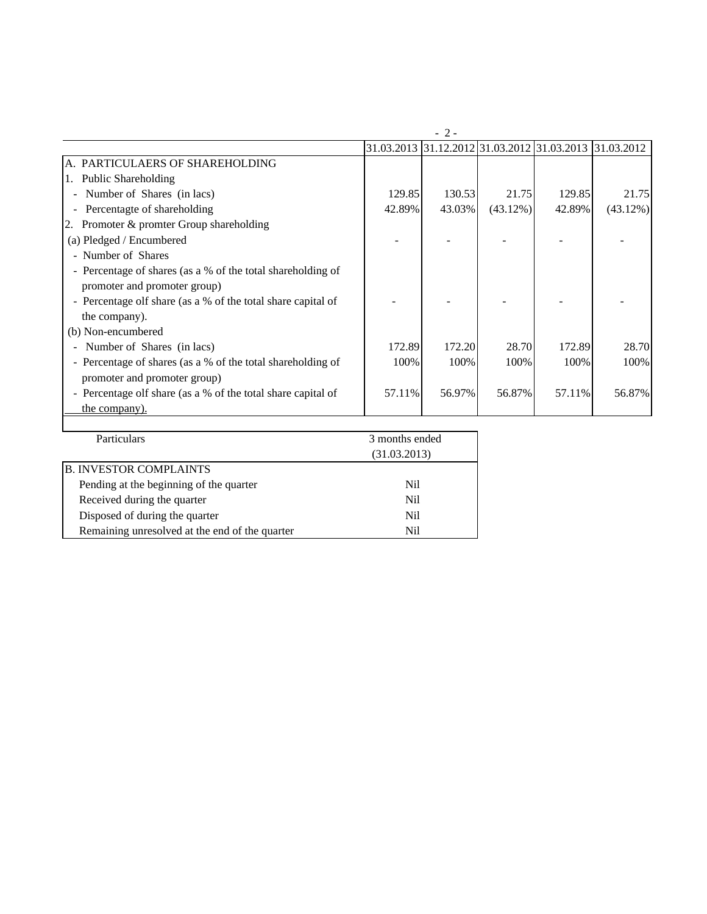|                                                              |                | $-2-$  |             |                                                        |          |
|--------------------------------------------------------------|----------------|--------|-------------|--------------------------------------------------------|----------|
|                                                              |                |        |             | 31.03.2013 31.12.2012 31.03.2012 31.03.2013 31.03.2012 |          |
| A. PARTICULAERS OF SHAREHOLDING                              |                |        |             |                                                        |          |
| <b>Public Shareholding</b><br>1.                             |                |        |             |                                                        |          |
| - Number of Shares (in lacs)                                 | 129.85         | 130.53 | 21.75       | 129.85                                                 | 21.75    |
| Percentagte of shareholding                                  | 42.89%         | 43.03% | $(43.12\%)$ | 42.89%                                                 | (43.12%) |
| Promoter & promter Group shareholding                        |                |        |             |                                                        |          |
| (a) Pledged / Encumbered                                     |                |        |             |                                                        |          |
| - Number of Shares                                           |                |        |             |                                                        |          |
| - Percentage of shares (as a % of the total shareholding of  |                |        |             |                                                        |          |
| promoter and promoter group)                                 |                |        |             |                                                        |          |
| - Percentage olf share (as a % of the total share capital of |                |        |             |                                                        |          |
| the company).                                                |                |        |             |                                                        |          |
| (b) Non-encumbered                                           |                |        |             |                                                        |          |
| Number of Shares (in lacs)                                   | 172.89         | 172.20 | 28.70       | 172.89                                                 | 28.70    |
| - Percentage of shares (as a % of the total shareholding of  | 100%           | 100%   | 100%        | 100%                                                   | 100%     |
| promoter and promoter group)                                 |                |        |             |                                                        |          |
| - Percentage olf share (as a % of the total share capital of | 57.11%         | 56.97% | 56.87%      | 57.11%                                                 | 56.87%   |
| the company).                                                |                |        |             |                                                        |          |
|                                                              |                |        |             |                                                        |          |
| Particulars                                                  | 3 months ended |        |             |                                                        |          |

| Particulars                                    | 3 months ended |
|------------------------------------------------|----------------|
|                                                | (31.03.2013)   |
| <b>B. INVESTOR COMPLAINTS</b>                  |                |
| Pending at the beginning of the quarter        | Nil.           |
| Received during the quarter                    | Nil.           |
| Disposed of during the quarter                 | Nil            |
| Remaining unresolved at the end of the quarter | Nil            |
|                                                |                |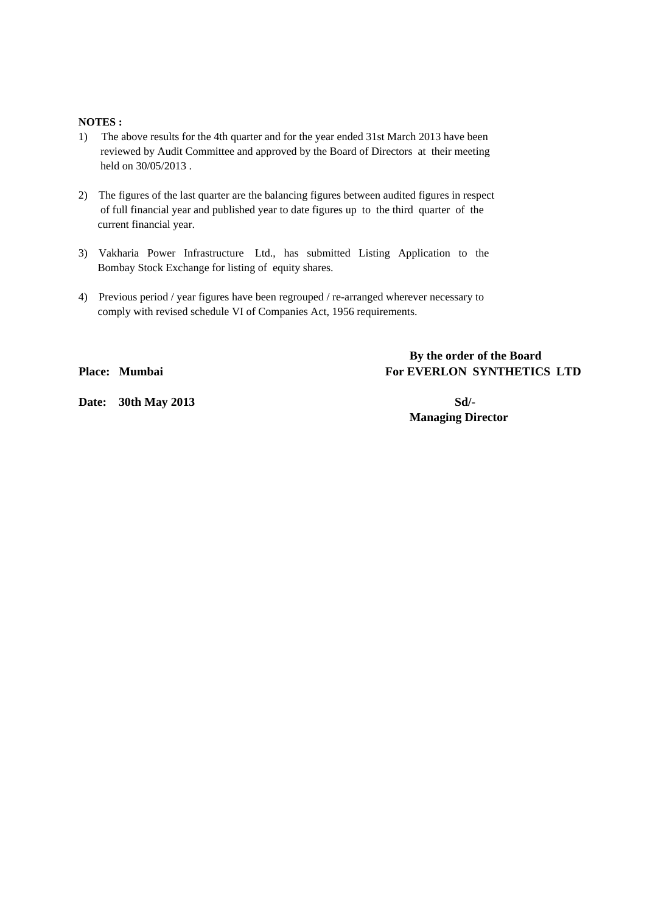## **NOTES :**

- 1) The above results for the 4th quarter and for the year ended 31st March 2013 have been reviewed by Audit Committee and approved by the Board of Directors at their meeting held on 30/05/2013 .
- 2) The figures of the last quarter are the balancing figures between audited figures in respect of full financial year and published year to date figures up to the third quarter of the current financial year.
- 3) Vakharia Power Infrastructure Ltd., has submitted Listing Application to the Bombay Stock Exchange for listing of equity shares.
- 4) Previous period / year figures have been regrouped / re-arranged wherever necessary to comply with revised schedule VI of Companies Act, 1956 requirements.

 **By the order of the Board Place: Mumbai For EVERLON SYNTHETICS LTD** 

**Date:** 30th May 2013 **Sd/-**

 **Managing Director**